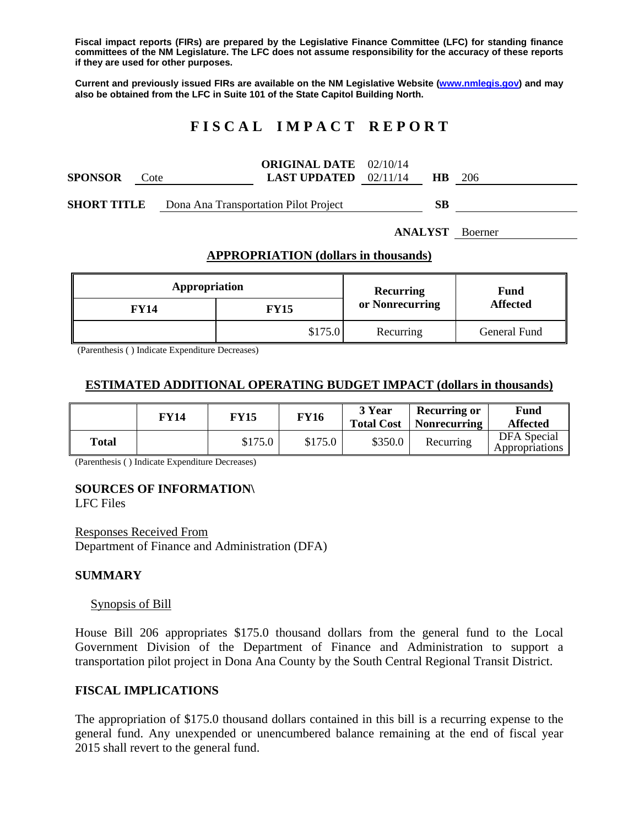**Fiscal impact reports (FIRs) are prepared by the Legislative Finance Committee (LFC) for standing finance committees of the NM Legislature. The LFC does not assume responsibility for the accuracy of these reports if they are used for other purposes.** 

**Current and previously issued FIRs are available on the NM Legislative Website (www.nmlegis.gov) and may also be obtained from the LFC in Suite 101 of the State Capitol Building North.** 

# **F I S C A L I M P A C T R E P O R T**

|                    |      |                                       | <b>ORIGINAL DATE</b> 02/10/14  |  |           |      |
|--------------------|------|---------------------------------------|--------------------------------|--|-----------|------|
| <b>SPONSOR</b>     | Cote |                                       | <b>LAST UPDATED</b> $02/11/14$ |  | <b>HR</b> | -206 |
|                    |      |                                       |                                |  |           |      |
| <b>SHORT TITLE</b> |      | Dona Ana Transportation Pilot Project |                                |  | SВ        |      |

**ANALYST** Boerner

## **APPROPRIATION (dollars in thousands)**

| Appropriation |         | Recurring       | Fund<br><b>Affected</b> |  |
|---------------|---------|-----------------|-------------------------|--|
| FY14          | FY15    | or Nonrecurring |                         |  |
|               | \$175.0 | Recurring       | General Fund            |  |

(Parenthesis ( ) Indicate Expenditure Decreases)

## **ESTIMATED ADDITIONAL OPERATING BUDGET IMPACT (dollars in thousands)**

|       | FY14 | <b>FY15</b> | <b>FY16</b> | 3 Year<br><b>Total Cost</b> | Recurring or<br>Nonrecurring | Fund<br><b>Affected</b>       |
|-------|------|-------------|-------------|-----------------------------|------------------------------|-------------------------------|
| Total |      | \$175.0     | \$175.0     | \$350.0                     | Recurring                    | DFA Special<br>Appropriations |

(Parenthesis ( ) Indicate Expenditure Decreases)

### **SOURCES OF INFORMATION\**

LFC Files

Responses Received From Department of Finance and Administration (DFA)

#### **SUMMARY**

#### Synopsis of Bill

House Bill 206 appropriates \$175.0 thousand dollars from the general fund to the Local Government Division of the Department of Finance and Administration to support a transportation pilot project in Dona Ana County by the South Central Regional Transit District.

## **FISCAL IMPLICATIONS**

The appropriation of \$175.0 thousand dollars contained in this bill is a recurring expense to the general fund. Any unexpended or unencumbered balance remaining at the end of fiscal year 2015 shall revert to the general fund.